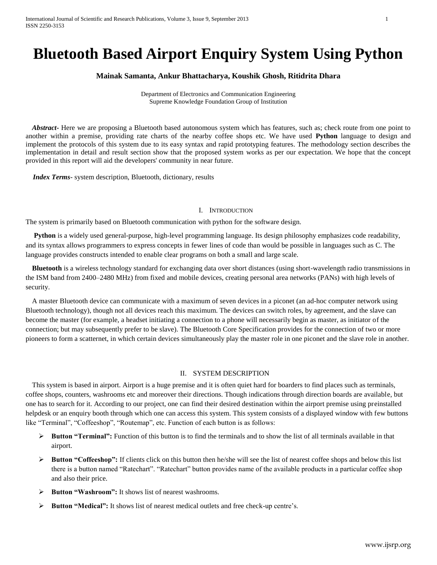# **Bluetooth Based Airport Enquiry System Using Python**

### **Mainak Samanta, Ankur Bhattacharya, Koushik Ghosh, Ritidrita Dhara**

Department of Electronics and Communication Engineering Supreme Knowledge Foundation Group of Institution

*Abstract***-** Here we are proposing a Bluetooth based autonomous system which has features, such as; check route from one point to another within a premise, providing rate charts of the nearby coffee shops etc. We have used **Python** language to design and implement the protocols of this system due to its easy syntax and rapid prototyping features. The methodology section describes the implementation in detail and result section show that the proposed system works as per our expectation. We hope that the concept provided in this report will aid the developers' community in near future.

 *Index Terms*- system description, Bluetooth, dictionary, results

#### I. INTRODUCTION

The system is primarily based on Bluetooth communication with python for the software design.

**Python** is a widely used general-purpose, high-level programming language. Its design philosophy emphasizes code readability, and its syntax allows programmers to express concepts in fewer lines of code than would be possible in languages such as C. The language provides constructs intended to enable clear programs on both a small and large scale.

**Bluetooth** is a wireless technology standard for exchanging data over short distances (using short-wavelength radio transmissions in the ISM band from 2400–2480 MHz) from fixed and mobile devices, creating personal area networks (PANs) with high levels of security.

A master Bluetooth device can communicate with a maximum of seven devices in a piconet (an ad-hoc computer network using Bluetooth technology), though not all devices reach this maximum. The devices can switch roles, by agreement, and the slave can become the master (for example, a headset initiating a connection to a phone will necessarily begin as master, as initiator of the connection; but may subsequently prefer to be slave). The Bluetooth Core Specification provides for the connection of two or more pioneers to form a scatternet, in which certain devices simultaneously play the master role in one piconet and the slave role in another.

## II. SYSTEM DESCRIPTION

This system is based in airport. Airport is a huge premise and it is often quiet hard for boarders to find places such as terminals, coffee shops, counters, washrooms etc and moreover their directions. Though indications through direction boards are available, but one has to search for it. According to our project, one can find their desired destination within the airport premise using preinstalled helpdesk or an enquiry booth through which one can access this system. This system consists of a displayed window with few buttons like "Terminal", "Coffeeshop", "Routemap", etc. Function of each button is as follows:

- **Button "Terminal":** Function of this button is to find the terminals and to show the list of all terminals available in that airport.
- **►** Button "Coffeeshop": If clients click on this button then he/she will see the list of nearest coffee shops and below this list there is a button named "Ratechart". "Ratechart" button provides name of the available products in a particular coffee shop and also their price.
- **Button "Washroom":** It shows list of nearest washrooms.
- **Button "Medical":** It shows list of nearest medical outlets and free check-up centre's.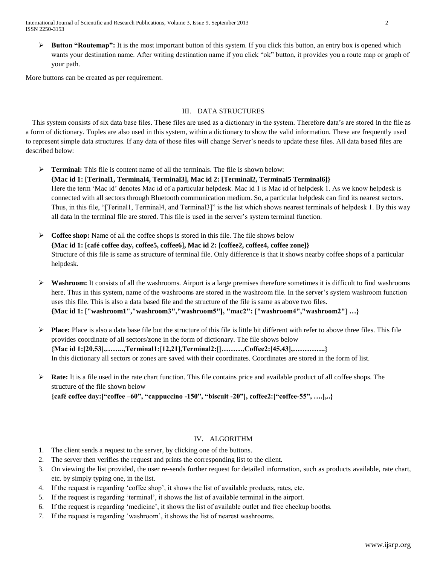International Journal of Scientific and Research Publications, Volume 3, Issue 9, September 2013 2 ISSN 2250-3153

 $\triangleright$  **Button "Routemap":** It is the most important button of this system. If you click this button, an entry box is opened which wants your destination name. After writing destination name if you click "ok" button, it provides you a route map or graph of your path.

More buttons can be created as per requirement.

#### III. DATA STRUCTURES

This system consists of six data base files. These files are used as a dictionary in the system. Therefore data's are stored in the file as a form of dictionary. Tuples are also used in this system, within a dictionary to show the valid information. These are frequently used to represent simple data structures. If any data of those files will change Server's needs to update these files. All data based files are described below:

- **Terminal:** This file is content name of all the terminals. The file is shown below: **{Mac id 1: [Terinal1, Terminal4, Terminal3], Mac id 2: [Terminal2, Terminal5 Terminal6]}** Here the term 'Mac id' denotes Mac id of a particular helpdesk. Mac id 1 is Mac id of helpdesk 1. As we know helpdesk is connected with all sectors through Bluetooth communication medium. So, a particular helpdesk can find its nearest sectors. Thus, in this file, "[Terinal1, Terminal4, and Terminal3]" is the list which shows nearest terminals of helpdesk 1. By this way all data in the terminal file are stored. This file is used in the server's system terminal function.
- **Coffee shop:** Name of all the coffee shops is stored in this file. The file shows below **{Mac id 1: [café coffee day, coffee5, coffee6], Mac id 2: [coffee2, coffee4, coffee zone]}** Structure of this file is same as structure of terminal file. Only difference is that it shows nearby coffee shops of a particular helpdesk.
- **Washroom:** It consists of all the washrooms. Airport is a large premises therefore sometimes it is difficult to find washrooms here. Thus in this system, name of the washrooms are stored in the washroom file. In the server's system washroom function uses this file. This is also a data based file and the structure of the file is same as above two files. **{Mac id 1: ["washroom1","washroom3","washroom5"], "mac2": ["washroom4","washroom2"] …}**
- **Place:** Place is also a data base file but the structure of this file is little bit different with refer to above three files. This file provides coordinate of all sectors/zone in the form of dictionary. The file shows below **{Mac id 1:[20,53],……..,Terminal1:[12,21],Terminal2:[]………,Coffee2:[45,43],…………..}** In this dictionary all sectors or zones are saved with their coordinates. Coordinates are stored in the form of list.
- **Exate:** It is a file used in the rate chart function. This file contains price and available product of all coffee shops. The structure of the file shown below **{café coffee day:["coffee –60", "cappuccino -150", "biscuit -20"], coffee2:["coffee-55", ….],..}**

#### IV. ALGORITHM

- 1. The client sends a request to the server, by clicking one of the buttons.
- 2. The server then verifies the request and prints the corresponding list to the client.
- 3. On viewing the list provided, the user re-sends further request for detailed information, such as products available, rate chart, etc. by simply typing one, in the list.
- 4. If the request is regarding 'coffee shop', it shows the list of available products, rates, etc.
- 5. If the request is regarding 'terminal', it shows the list of available terminal in the airport.
- 6. If the request is regarding 'medicine', it shows the list of available outlet and free checkup booths.
- 7. If the request is regarding 'washroom', it shows the list of nearest washrooms.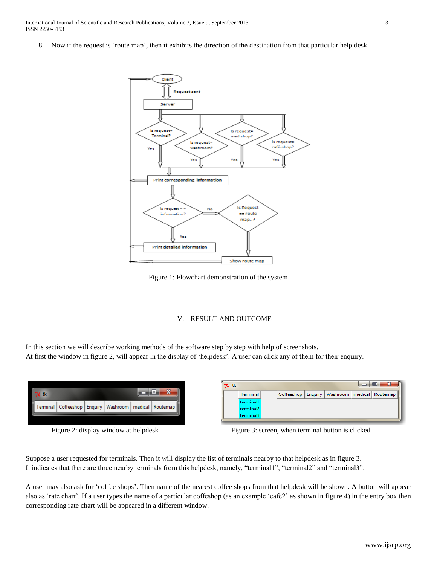International Journal of Scientific and Research Publications, Volume 3, Issue 9, September 2013 3 ISSN 2250-3153

8. Now if the request is 'route map', then it exhibits the direction of the destination from that particular help desk.



Figure 1: Flowchart demonstration of the system

#### V. RESULT AND OUTCOME

In this section we will describe working methods of the software step by step with help of screenshots. At first the window in figure 2, will appear in the display of 'helpdesk'. A user can click any of them for their enquiry.

| 76 tk |                                                                 |  |  |
|-------|-----------------------------------------------------------------|--|--|
|       | Terminal   Coffeeshop   Enquiry   Washroom   medical   Routemap |  |  |
|       |                                                                 |  |  |



| S.<br>e<br>76 tk      |                                                      |  |  |  |  |  |  |  |
|-----------------------|------------------------------------------------------|--|--|--|--|--|--|--|
| Terminal              | Coffeeshop   Enquiry   Washroom   medical   Routemap |  |  |  |  |  |  |  |
| terminal1             |                                                      |  |  |  |  |  |  |  |
| terminal <sub>2</sub> |                                                      |  |  |  |  |  |  |  |
| terminal3             |                                                      |  |  |  |  |  |  |  |

Figure 2: display window at helpdesk Figure 3: screen, when terminal button is clicked

Suppose a user requested for terminals. Then it will display the list of terminals nearby to that helpdesk as in figure 3. It indicates that there are three nearby terminals from this helpdesk, namely, "terminal1", "terminal2" and "terminal3".

A user may also ask for 'coffee shops'. Then name of the nearest coffee shops from that helpdesk will be shown. A button will appear also as 'rate chart'. If a user types the name of a particular coffeshop (as an example 'cafe2' as shown in figure 4) in the entry box then corresponding rate chart will be appeared in a different window.